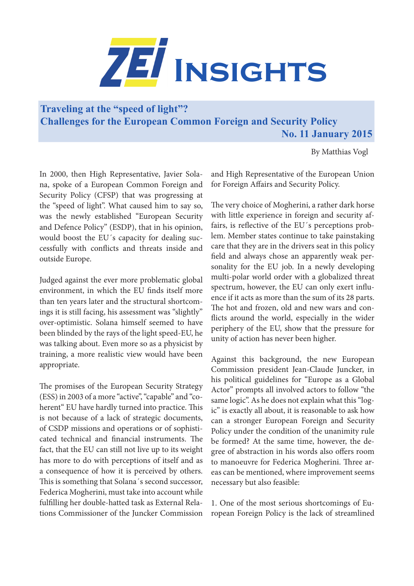

**Traveling at the "speed of light"? Challenges for the European Common Foreign and Security Policy** 

 **No. 11 January 2015** 

By Matthias Vogl

In 2000, then High Representative, Javier Solana, spoke of a European Common Foreign and Security Policy (CFSP) that was progressing at the "speed of light". What caused him to say so, was the newly established "European Security and Defence Policy" (ESDP), that in his opinion, would boost the EU´s capacity for dealing successfully with conflicts and threats inside and outside Europe.

Judged against the ever more problematic global environment, in which the EU finds itself more than ten years later and the structural shortcomings it is still facing, his assessment was "slightly" over-optimistic. Solana himself seemed to have been blinded by the rays of the light speed-EU, he was talking about. Even more so as a physicist by training, a more realistic view would have been appropriate.

The promises of the European Security Strategy (ESS) in 2003 of a more "active", "capable" and "coherent" EU have hardly turned into practice. This is not because of a lack of strategic documents, of CSDP missions and operations or of sophisticated technical and financial instruments. The fact, that the EU can still not live up to its weight has more to do with perceptions of itself and as a consequence of how it is perceived by others. This is something that Solana´s second successor, Federica Mogherini, must take into account while fulfilling her double-hatted task as External Relations Commissioner of the Juncker Commission

and High Representative of the European Union for Foreign Affairs and Security Policy.

The very choice of Mogherini, a rather dark horse with little experience in foreign and security affairs, is reflective of the EU´s perceptions problem. Member states continue to take painstaking care that they are in the drivers seat in this policy field and always chose an apparently weak personality for the EU job. In a newly developing multi-polar world order with a globalized threat spectrum, however, the EU can only exert influence if it acts as more than the sum of its 28 parts. The hot and frozen, old and new wars and conflicts around the world, especially in the wider periphery of the EU, show that the pressure for unity of action has never been higher.

Against this background, the new European Commission president Jean-Claude Juncker, in his political guidelines for "Europe as a Global Actor" prompts all involved actors to follow "the same logic". As he does not explain what this "logic" is exactly all about, it is reasonable to ask how can a stronger European Foreign and Security Policy under the condition of the unanimity rule be formed? At the same time, however, the degree of abstraction in his words also offers room to manoeuvre for Federica Mogherini. Three areas can be mentioned, where improvement seems necessary but also feasible:

1. One of the most serious shortcomings of European Foreign Policy is the lack of streamlined